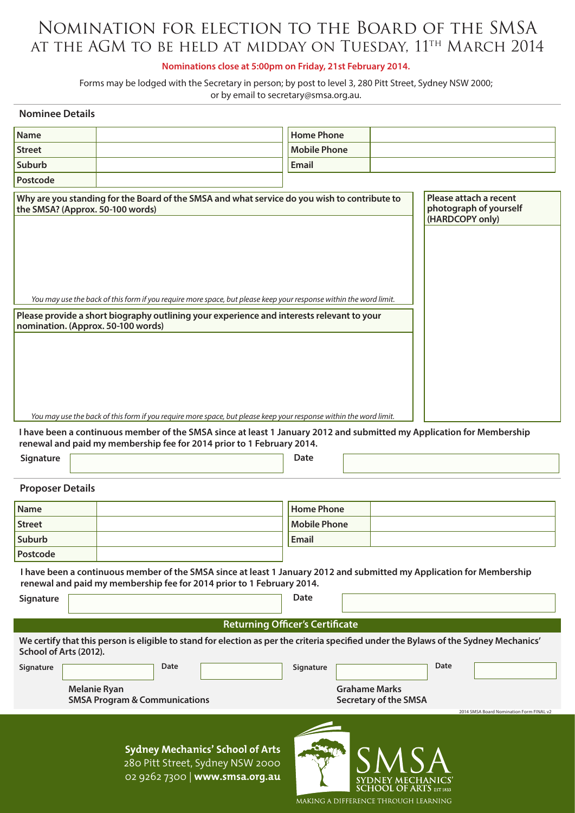# Nomination for election to the Board of the SMSA AT THE AGM TO BE HELD AT MIDDAY ON TUESDAY, 11<sup>th</sup> MARCH 2014

## **Nominations close at 5:00pm on Friday, 21st February 2014.**

Forms may be lodged with the Secretary in person; by post to level 3, 280 Pitt Street, Sydney NSW 2000; or by email to secretary@smsa.org.au.

| <b>Nominee Details</b>                                                                                                                                                                         |                                                                                                                   |                     |                                          |  |  |  |  |
|------------------------------------------------------------------------------------------------------------------------------------------------------------------------------------------------|-------------------------------------------------------------------------------------------------------------------|---------------------|------------------------------------------|--|--|--|--|
| <b>Name</b>                                                                                                                                                                                    |                                                                                                                   | <b>Home Phone</b>   |                                          |  |  |  |  |
| <b>Street</b>                                                                                                                                                                                  |                                                                                                                   | <b>Mobile Phone</b> |                                          |  |  |  |  |
| Suburb                                                                                                                                                                                         |                                                                                                                   | <b>Email</b>        |                                          |  |  |  |  |
| Postcode                                                                                                                                                                                       |                                                                                                                   |                     |                                          |  |  |  |  |
| Why are you standing for the Board of the SMSA and what service do you wish to contribute to<br>the SMSA? (Approx. 50-100 words)                                                               | Please attach a recent<br>photograph of yourself<br>(HARDCOPY only)                                               |                     |                                          |  |  |  |  |
|                                                                                                                                                                                                | You may use the back of this form if you require more space, but please keep your response within the word limit. |                     |                                          |  |  |  |  |
| Please provide a short biography outlining your experience and interests relevant to your                                                                                                      |                                                                                                                   |                     |                                          |  |  |  |  |
| nomination. (Approx. 50-100 words)                                                                                                                                                             |                                                                                                                   |                     |                                          |  |  |  |  |
| You may use the back of this form if you require more space, but please keep your response within the word limit.                                                                              |                                                                                                                   |                     |                                          |  |  |  |  |
| I have been a continuous member of the SMSA since at least 1 January 2012 and submitted my Application for Membership                                                                          |                                                                                                                   |                     |                                          |  |  |  |  |
|                                                                                                                                                                                                | renewal and paid my membership fee for 2014 prior to 1 February 2014.                                             |                     |                                          |  |  |  |  |
| Signature                                                                                                                                                                                      |                                                                                                                   | <b>Date</b>         |                                          |  |  |  |  |
| <b>Proposer Details</b>                                                                                                                                                                        |                                                                                                                   |                     |                                          |  |  |  |  |
| Name                                                                                                                                                                                           |                                                                                                                   | <b>Home Phone</b>   |                                          |  |  |  |  |
| <b>Street</b>                                                                                                                                                                                  |                                                                                                                   | <b>Mobile Phone</b> |                                          |  |  |  |  |
| Suburb                                                                                                                                                                                         |                                                                                                                   | <b>Email</b>        |                                          |  |  |  |  |
| Postcode                                                                                                                                                                                       |                                                                                                                   |                     |                                          |  |  |  |  |
| I have been a continuous member of the SMSA since at least 1 January 2012 and submitted my Application for Membership<br>renewal and paid my membership fee for 2014 prior to 1 February 2014. |                                                                                                                   |                     |                                          |  |  |  |  |
| Signature                                                                                                                                                                                      |                                                                                                                   | <b>Date</b>         |                                          |  |  |  |  |
|                                                                                                                                                                                                |                                                                                                                   |                     |                                          |  |  |  |  |
| <b>Returning Officer's Certificate</b>                                                                                                                                                         |                                                                                                                   |                     |                                          |  |  |  |  |
| We certify that this person is eligible to stand for election as per the criteria specified under the Bylaws of the Sydney Mechanics'<br>School of Arts (2012).                                |                                                                                                                   |                     |                                          |  |  |  |  |
| Signature                                                                                                                                                                                      | Date                                                                                                              | Signature           | Date                                     |  |  |  |  |
| <b>Grahame Marks</b><br><b>Melanie Ryan</b>                                                                                                                                                    |                                                                                                                   |                     |                                          |  |  |  |  |
| <b>SMSA Program &amp; Communications</b><br><b>Secretary of the SMSA</b>                                                                                                                       |                                                                                                                   |                     |                                          |  |  |  |  |
|                                                                                                                                                                                                |                                                                                                                   |                     | 2014 SMSA Board Nomination Form FINAL v2 |  |  |  |  |
|                                                                                                                                                                                                | <b>Sydney Mechanics' School of Arts</b><br>280 Pitt Street, Sydney NSW 2000                                       |                     | SM S A                                   |  |  |  |  |

02 9262 7300 | **www.smsa.org.au**

SYDNEY MECHANICS'<br>SCHOOL OF ARTS EST 1833 MAKING A DIFFERENCE THROUGH LEARNING